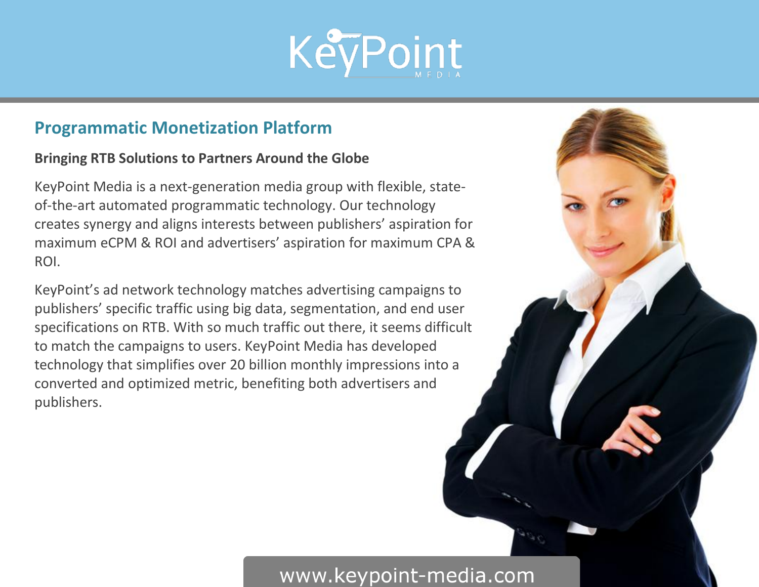

### **Programmatic Monetization Platform**

#### **Bringing RTB Solutions to Partners Around the Globe**

KeyPoint Media is a next-generation media group with flexible, stateof-the-art automated programmatic technology. Our technology creates synergy and aligns interests between publishers' aspiration for maximum eCPM & ROI and advertisers' aspiration for maximum CPA & ROI.

KeyPoint's ad network technology matches advertising campaigns to publishers' specific traffic using big data, segmentation, and end user specifications on RTB. With so much traffic out there, it seems difficult to match the campaigns to users. KeyPoint Media has developed technology that simplifies over 20 billion monthly impressions into a converted and optimized metric, benefiting both advertisers and publishers.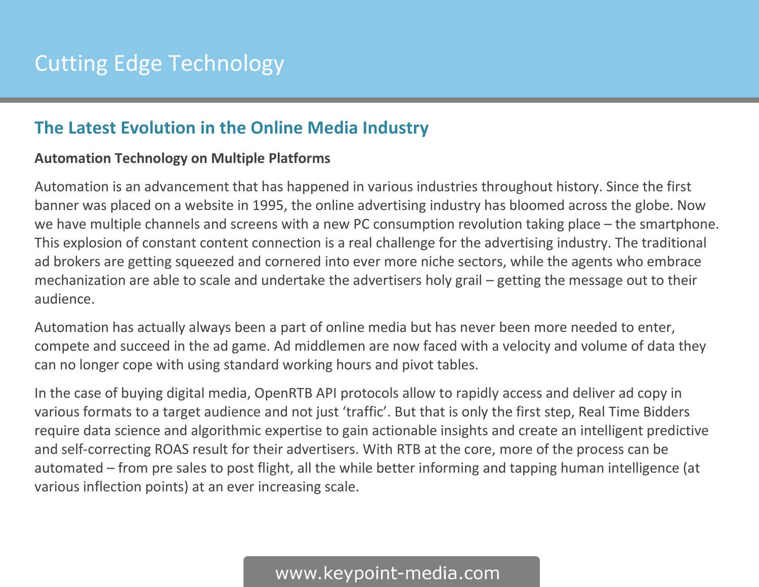### **The Latest Evolution in the Online Media Industry**

#### **Automation Technology on Multiple Platforms**

Automation is an advancement that has happened in various industries throughout history. Since the first banner was placed on a website in 1995, the online advertising industry has bloomed across the globe. Now we have multiple channels and screens with a new PC consumption revolution taking place – the smartphone. This explosion of constant content connection is a real challenge for the advertising industry. The traditional ad brokers are getting squeezed and cornered into ever more niche sectors, while the agents who embrace mechanization are able to scale and undertake the advertisers holy grail – getting the message out to their audience.

Automation has actually always been a part of online media but has never been more needed to enter, compete and succeed in the ad game. Ad middlemen are now faced with a velocity and volume of data they can no longer cope with using standard working hours and pivot tables.

In the case of buying digital media, OpenRTB API protocols allow to rapidly access and deliver ad copy in various formats to a target audience and not just 'traffic'. But that is only the first step, Real Time Bidders require data science and algorithmic expertise to gain actionable insights and create an intelligent predictive and self-correcting ROAS result for their advertisers. With RTB at the core, more of the process can be automated – from pre sales to post flight, all the while better informing and tapping human intelligence (at various inflection points) at an ever increasing scale.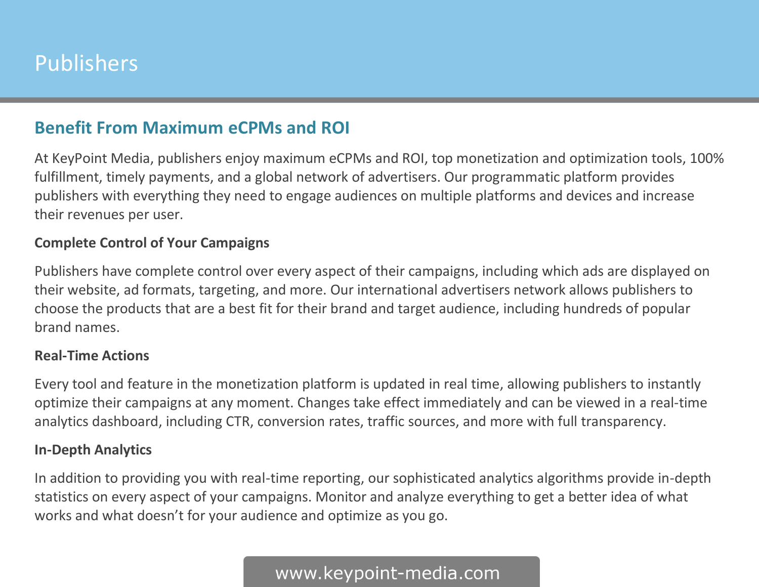# Publishers

### **Benefit From Maximum eCPMs and ROI**

At KeyPoint Media, publishers enjoy maximum eCPMs and ROI, top monetization and optimization tools, 100% fulfillment, timely payments, and a global network of advertisers. Our programmatic platform provides publishers with everything they need to engage audiences on multiple platforms and devices and increase their revenues per user.

#### **Complete Control of Your Campaigns**

Publishers have complete control over every aspect of their campaigns, including which ads are displayed on their website, ad formats, targeting, and more. Our international advertisers network allows publishers to choose the products that are a best fit for their brand and target audience, including hundreds of popular brand names.

#### **Real-Time Actions**

Every tool and feature in the monetization platform is updated in real time, allowing publishers to instantly optimize their campaigns at any moment. Changes take effect immediately and can be viewed in a real-time analytics dashboard, including CTR, conversion rates, traffic sources, and more with full transparency.

#### **In-Depth Analytics**

In addition to providing you with real-time reporting, our sophisticated analytics algorithms provide in-depth statistics on every aspect of your campaigns. Monitor and analyze everything to get a better idea of what works and what doesn't for your audience and optimize as you go.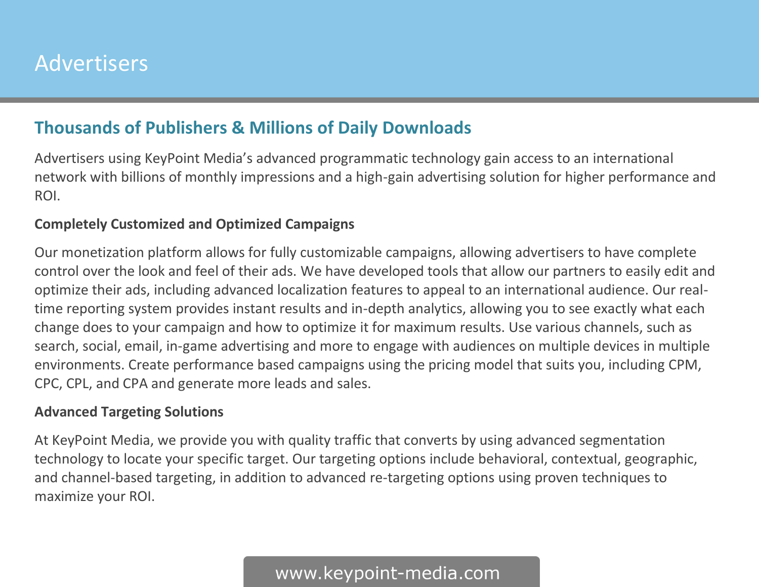### **Thousands of Publishers & Millions of Daily Downloads**

Advertisers using KeyPoint Media's advanced programmatic technology gain access to an international network with billions of monthly impressions and a high-gain advertising solution for higher performance and ROI.

#### **Completely Customized and Optimized Campaigns**

Our monetization platform allows for fully customizable campaigns, allowing advertisers to have complete control over the look and feel of their ads. We have developed tools that allow our partners to easily edit and optimize their ads, including advanced localization features to appeal to an international audience. Our realtime reporting system provides instant results and in-depth analytics, allowing you to see exactly what each change does to your campaign and how to optimize it for maximum results. Use various channels, such as search, social, email, in-game advertising and more to engage with audiences on multiple devices in multiple environments. Create performance based campaigns using the pricing model that suits you, including CPM, CPC, CPL, and CPA and generate more leads and sales.

#### **Advanced Targeting Solutions**

At KeyPoint Media, we provide you with quality traffic that converts by using advanced segmentation technology to locate your specific target. Our targeting options include behavioral, contextual, geographic, and channel-based targeting, in addition to advanced re-targeting options using proven techniques to maximize your ROI.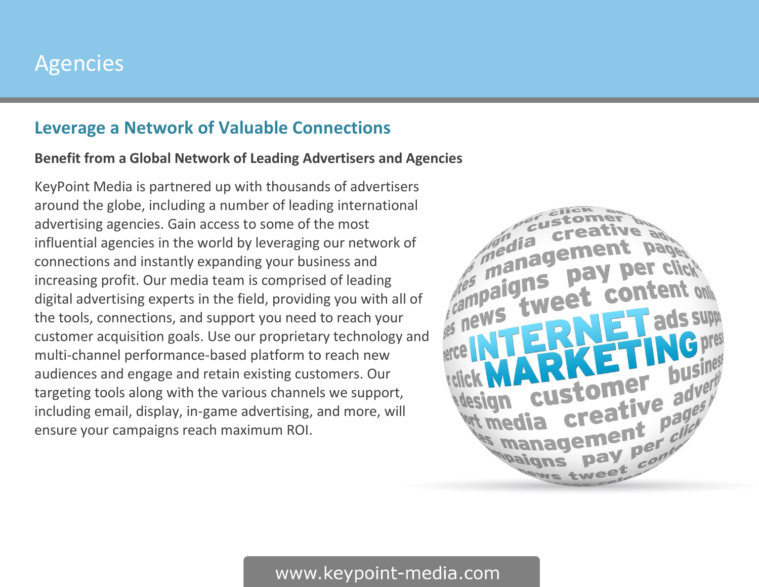## Agencies

### **Leverage a Network of Valuable Connections**

#### **Benefit from a Global Network of Leading Advertisers and Agencies**

KeyPoint Media is partnered up with thousands of advertisers around the globe, including a number of leading international advertising agencies. Gain access to some of the most influential agencies in the world by leveraging our network of connections and instantly expanding your business and increasing profit. Our media team is comprised of leading digital advertising experts in the field, providing you with all of the tools, connections, and support you need to reach your customer acquisition goals. Use our proprietary technology and multi-channel performance-based platform to reach new audiences and engage and retain existing customers. Our targeting tools along with the various channels we support, including email, display, in-game advertising, and more, will ensure your campaigns reach maximum ROI.

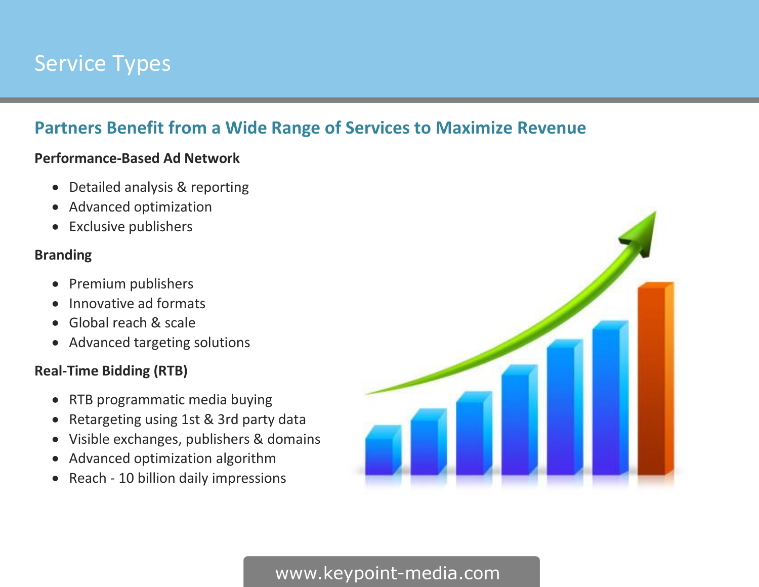# Service Types

### **Partners Benefit from a Wide Range of Services to Maximize Revenue**

#### **Performance-Based Ad Network**

- Detailed analysis & reporting
- Advanced optimization
- Exclusive publishers

#### **Branding**

- Premium publishers
- Innovative ad formats
- Global reach & scale
- Advanced targeting solutions

#### **Real-Time Bidding (RTB)**

- RTB programmatic media buying
- Retargeting using 1st & 3rd party data
- Visible exchanges, publishers & domains
- Advanced optimization algorithm
- Reach 10 billion daily impressions

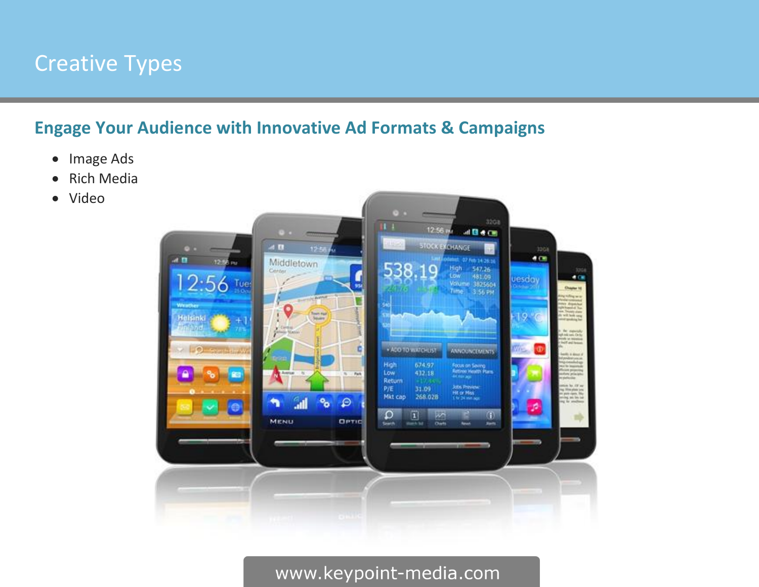## Creative Types

### **Engage Your Audience with Innovative Ad Formats & Campaigns**

- Image Ads
- Rich Media
- Video

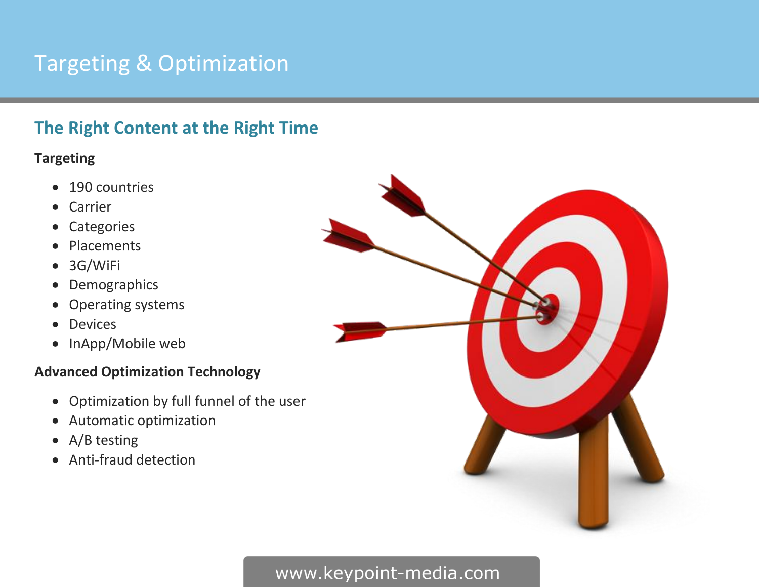# Targeting & Optimization

### **The Right Content at the Right Time**

#### **Targeting**

- 190 countries
- Carrier
- Categories
- Placements
- 3G/WiFi
- Demographics
- Operating systems
- Devices
- InApp/Mobile web

#### **Advanced Optimization Technology**

- Optimization by full funnel of the user
- Automatic optimization
- A/B testing
- Anti-fraud detection